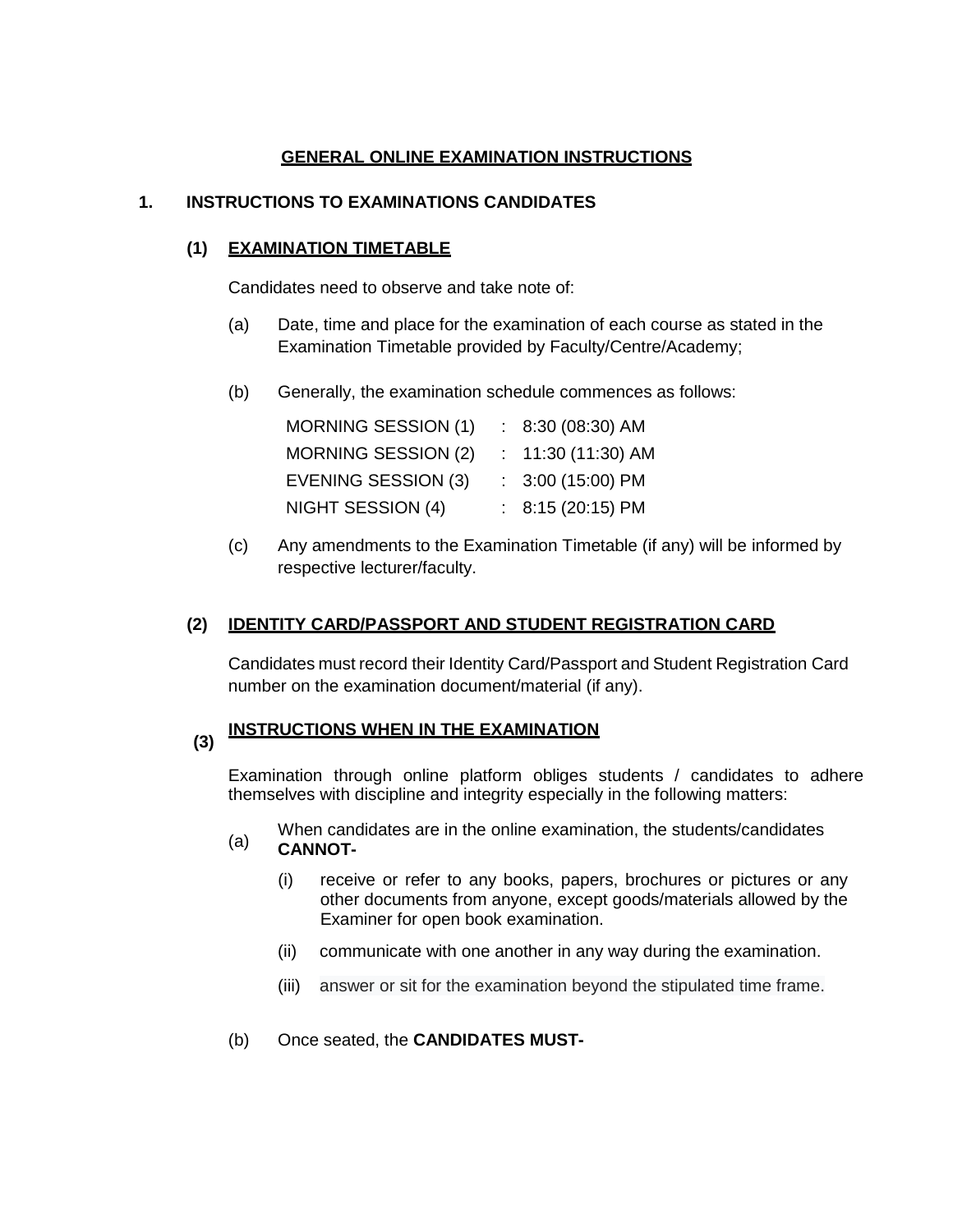# **GENERAL ONLINE EXAMINATION INSTRUCTIONS**

# **1. INSTRUCTIONS TO EXAMINATIONS CANDIDATES**

## **(1) EXAMINATION TIMETABLE**

Candidates need to observe and take note of:

- (a) Date, time and place for the examination of each course as stated in the Examination Timetable provided by Faculty/Centre/Academy;
- (b) Generally, the examination schedule commences as follows:

| <b>MORNING SESSION (1)</b> | $: 8:30(08:30)$ AM  |
|----------------------------|---------------------|
| <b>MORNING SESSION (2)</b> | $: 11:30(11:30)$ AM |
| EVENING SESSION (3)        | $: 3:00(15:00)$ PM  |
| NIGHT SESSION (4)          | : $8:15(20:15)$ PM  |

(c) Any amendments to the Examination Timetable (if any) will be informed by respective lecturer/faculty.

## **(2) IDENTITY CARD/PASSPORT AND STUDENT REGISTRATION CARD**

Candidates must record their Identity Card/Passport and Student Registration Card number on the examination document/material (if any).

#### **(3) INSTRUCTIONS WHEN IN THE EXAMINATION**

Examination through online platform obliges students / candidates to adhere themselves with discipline and integrity especially in the following matters:

- When candidates are in the online examination, the students/candidates (a) cannot **CANNOT-**
	- (i) receive or refer to any books, papers, brochures or pictures or any other documents from anyone, except goods/materials allowed by the Examiner for open book examination.
	- (ii) communicate with one another in any way during the examination.
	- (iii) answer or sit for the examination beyond the stipulated time frame.
- (b) Once seated, the **CANDIDATES MUST-**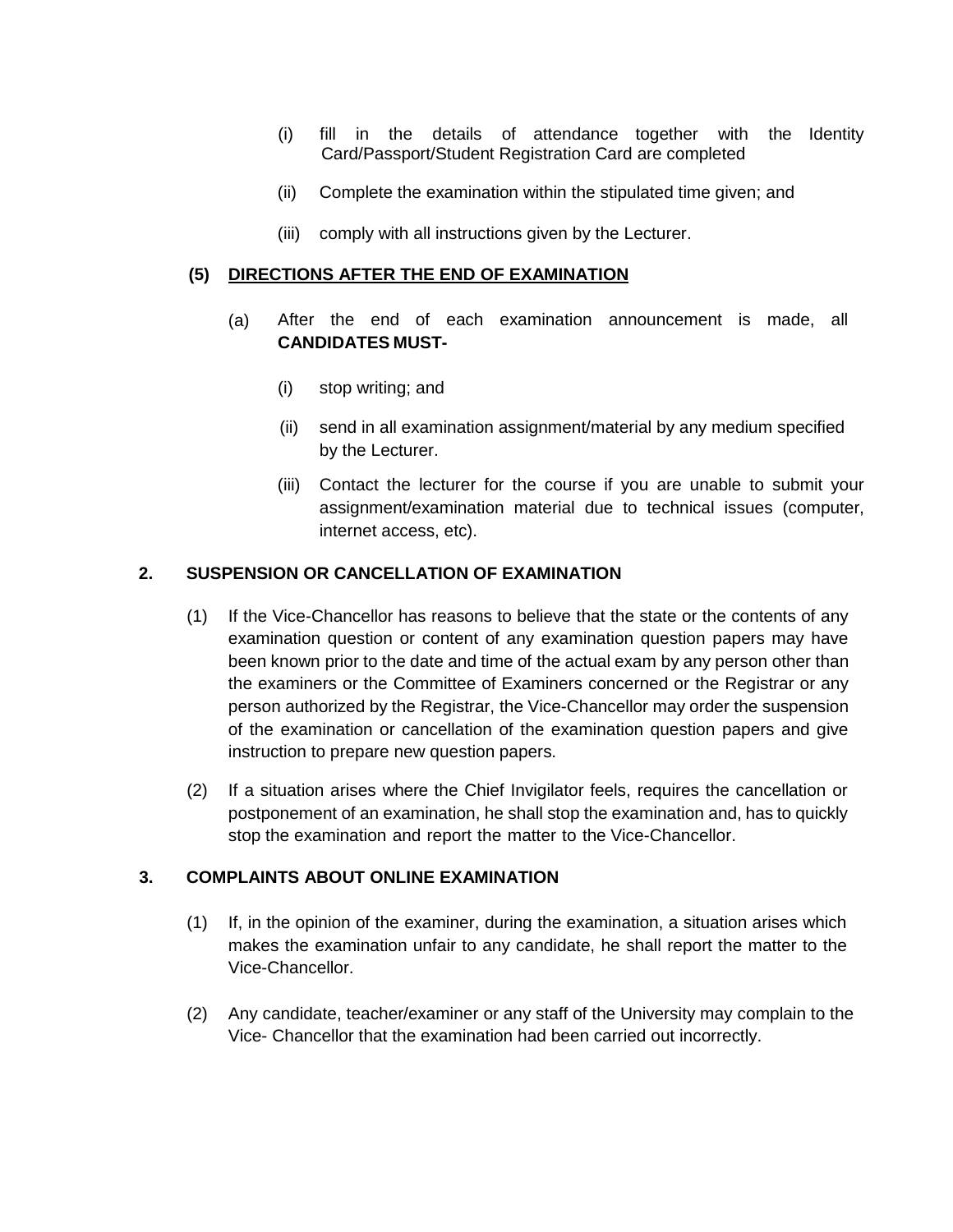- (i) fill in the details of attendance together with the Identity Card/Passport/Student Registration Card are completed
- (ii) Complete the examination within the stipulated time given; and
- (iii) comply with all instructions given by the Lecturer.

## **(5) DIRECTIONS AFTER THE END OF EXAMINATION**

- (a) After the end of each examination announcement is made, all **CANDIDATES MUST-**
	- (i) stop writing; and
	- (ii) send in all examination assignment/material by any medium specified by the Lecturer.
	- (iii) Contact the lecturer for the course if you are unable to submit your assignment/examination material due to technical issues (computer, internet access, etc).

# **2. SUSPENSION OR CANCELLATION OF EXAMINATION**

- (1) If the Vice-Chancellor has reasons to believe that the state or the contents of any examination question or content of any examination question papers may have been known prior to the date and time of the actual exam by any person other than the examiners or the Committee of Examiners concerned or the Registrar or any person authorized by the Registrar, the Vice-Chancellor may order the suspension of the examination or cancellation of the examination question papers and give instruction to prepare new question papers.
- (2) If a situation arises where the Chief Invigilator feels, requires the cancellation or postponement of an examination, he shall stop the examination and, has to quickly stop the examination and report the matter to the Vice-Chancellor.

### **3. COMPLAINTS ABOUT ONLINE EXAMINATION**

- (1) If, in the opinion of the examiner, during the examination, a situation arises which makes the examination unfair to any candidate, he shall report the matter to the Vice-Chancellor.
- (2) Any candidate, teacher/examiner or any staff of the University may complain to the Vice- Chancellor that the examination had been carried out incorrectly.